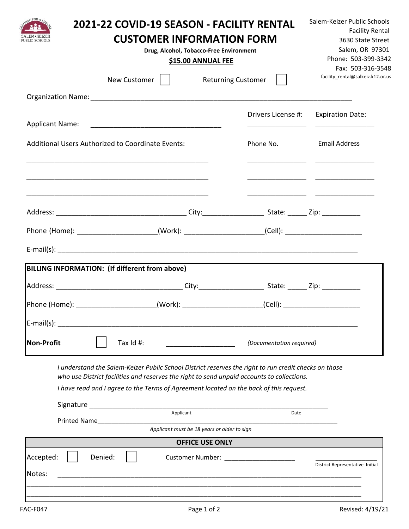|                                                                                                                                                                                                                                                                                               | 2021-22 COVID-19 SEASON - FACILITY RENTAL<br><b>CUSTOMER INFORMATION FORM</b><br>Drug, Alcohol, Tobacco-Free Environment<br>\$15.00 ANNUAL FEE |                                       |                                                                                                                                                                                                                                                                 |
|-----------------------------------------------------------------------------------------------------------------------------------------------------------------------------------------------------------------------------------------------------------------------------------------------|------------------------------------------------------------------------------------------------------------------------------------------------|---------------------------------------|-----------------------------------------------------------------------------------------------------------------------------------------------------------------------------------------------------------------------------------------------------------------|
|                                                                                                                                                                                                                                                                                               | New Customer                                                                                                                                   | Returning Customer                    | Fax: 503-316-3548<br>facility_rental@salkeiz.k12.or.us                                                                                                                                                                                                          |
|                                                                                                                                                                                                                                                                                               |                                                                                                                                                |                                       |                                                                                                                                                                                                                                                                 |
|                                                                                                                                                                                                                                                                                               |                                                                                                                                                | Drivers License #:                    | <b>Expiration Date:</b><br><u> 1980 - John Harry Harry Harry Harry Harry Harry Harry Harry Harry Harry Harry Harry Harry Harry Harry Harry Harry Harry Harry Harry Harry Harry Harry Harry Harry Harry Harry Harry Harry Harry Harry Harry Harry Harry Harr</u> |
| Additional Users Authorized to Coordinate Events:                                                                                                                                                                                                                                             |                                                                                                                                                | Phone No.                             | <b>Email Address</b>                                                                                                                                                                                                                                            |
| <u> 1989 - Johann Stoff, deutscher Stoff, der Stoff, der Stoff, der Stoff, der Stoff, der Stoff, der Stoff, der S</u>                                                                                                                                                                         |                                                                                                                                                |                                       |                                                                                                                                                                                                                                                                 |
|                                                                                                                                                                                                                                                                                               |                                                                                                                                                |                                       |                                                                                                                                                                                                                                                                 |
| Phone (Home): _______________________(Work): _____________________(Cell): _________________________                                                                                                                                                                                           |                                                                                                                                                |                                       |                                                                                                                                                                                                                                                                 |
|                                                                                                                                                                                                                                                                                               |                                                                                                                                                |                                       |                                                                                                                                                                                                                                                                 |
| BILLING INFORMATION: (If different from above)                                                                                                                                                                                                                                                |                                                                                                                                                |                                       |                                                                                                                                                                                                                                                                 |
|                                                                                                                                                                                                                                                                                               |                                                                                                                                                |                                       |                                                                                                                                                                                                                                                                 |
| Phone (Home): ________________________(Work): ______________________(Cell): ________________________                                                                                                                                                                                          |                                                                                                                                                |                                       |                                                                                                                                                                                                                                                                 |
| $E$ -mail(s):                                                                                                                                                                                                                                                                                 |                                                                                                                                                |                                       |                                                                                                                                                                                                                                                                 |
| <b>Non-Profit</b><br>Tax $Id$ #:                                                                                                                                                                                                                                                              |                                                                                                                                                | (Documentation required)              |                                                                                                                                                                                                                                                                 |
| I understand the Salem-Keizer Public School District reserves the right to run credit checks on those<br>who use District facilities and reserves the right to send unpaid accounts to collections.<br>I have read and I agree to the Terms of Agreement located on the back of this request. |                                                                                                                                                |                                       |                                                                                                                                                                                                                                                                 |
|                                                                                                                                                                                                                                                                                               | Applicant                                                                                                                                      | Date                                  |                                                                                                                                                                                                                                                                 |
|                                                                                                                                                                                                                                                                                               | Applicant must be 18 years or older to sign                                                                                                    |                                       |                                                                                                                                                                                                                                                                 |
|                                                                                                                                                                                                                                                                                               | <b>OFFICE USE ONLY</b>                                                                                                                         |                                       |                                                                                                                                                                                                                                                                 |
| Accepted:<br>Denied:<br>Notes:                                                                                                                                                                                                                                                                | <u> 1989 - Johann Harry Harry Harry Harry Harry Harry Harry Harry Harry Harry Harry Harry Harry Harry Harry Harry</u>                          | Customer Number: ____________________ | District Representative Initial                                                                                                                                                                                                                                 |
| <b>FAC-F047</b>                                                                                                                                                                                                                                                                               | Page 1 of 2                                                                                                                                    |                                       | Revised: 4/19/21                                                                                                                                                                                                                                                |